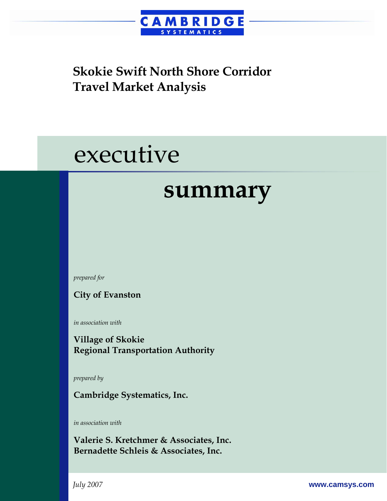

# executive

## **summary**

*prepared for* 

**City of Evanston** 

*in association with* 

**Village of Skokie Regional Transportation Authority** 

*prepared by* 

**Cambridge Systematics, Inc.** 

*in association with* 

**Valerie S. Kretchmer & Associates, Inc. Bernadette Schleis & Associates, Inc.**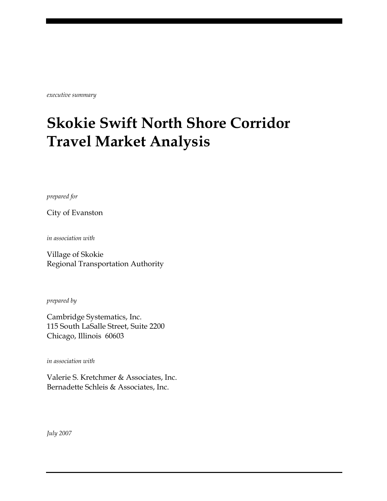*executive summary* 

## **Skokie Swift North Shore Corridor Travel Market Analysis**

*prepared for* 

City of Evanston

*in association with* 

Village of Skokie Regional Transportation Authority

*prepared by* 

Cambridge Systematics, Inc. 115 South LaSalle Street, Suite 2200 Chicago, Illinois 60603

*in association with* 

Valerie S. Kretchmer & Associates, Inc. Bernadette Schleis & Associates, Inc.

*July 2007*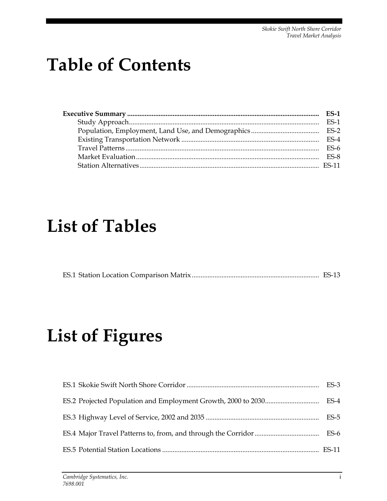## **Table of Contents**

| <b>ES-1</b> |
|-------------|
| $ES-1$      |
|             |
| $ES-4$      |
| FS-6        |
| $ES-8$      |
|             |
|             |

## **List of Tables**

|--|--|

## **List of Figures**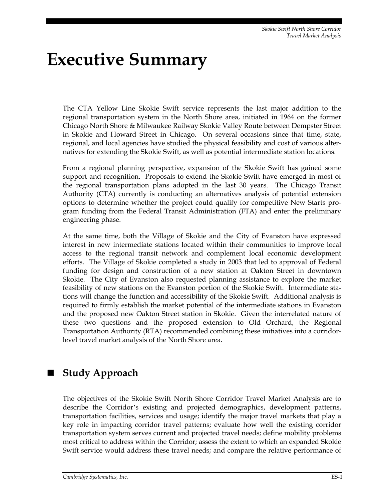## **Executive Summary**

The CTA Yellow Line Skokie Swift service represents the last major addition to the regional transportation system in the North Shore area, initiated in 1964 on the former Chicago North Shore & Milwaukee Railway Skokie Valley Route between Dempster Street in Skokie and Howard Street in Chicago. On several occasions since that time, state, regional, and local agencies have studied the physical feasibility and cost of various alternatives for extending the Skokie Swift, as well as potential intermediate station locations.

From a regional planning perspective, expansion of the Skokie Swift has gained some support and recognition. Proposals to extend the Skokie Swift have emerged in most of the regional transportation plans adopted in the last 30 years. The Chicago Transit Authority (CTA) currently is conducting an alternatives analysis of potential extension options to determine whether the project could qualify for competitive New Starts program funding from the Federal Transit Administration (FTA) and enter the preliminary engineering phase.

At the same time, both the Village of Skokie and the City of Evanston have expressed interest in new intermediate stations located within their communities to improve local access to the regional transit network and complement local economic development efforts. The Village of Skokie completed a study in 2003 that led to approval of Federal funding for design and construction of a new station at Oakton Street in downtown Skokie. The City of Evanston also requested planning assistance to explore the market feasibility of new stations on the Evanston portion of the Skokie Swift. Intermediate stations will change the function and accessibility of the Skokie Swift. Additional analysis is required to firmly establish the market potential of the intermediate stations in Evanston and the proposed new Oakton Street station in Skokie. Given the interrelated nature of these two questions and the proposed extension to Old Orchard, the Regional Transportation Authority (RTA) recommended combining these initiatives into a corridorlevel travel market analysis of the North Shore area.

### **Study Approach**

The objectives of the Skokie Swift North Shore Corridor Travel Market Analysis are to describe the Corridor's existing and projected demographics, development patterns, transportation facilities, services and usage; identify the major travel markets that play a key role in impacting corridor travel patterns; evaluate how well the existing corridor transportation system serves current and projected travel needs; define mobility problems most critical to address within the Corridor; assess the extent to which an expanded Skokie Swift service would address these travel needs; and compare the relative performance of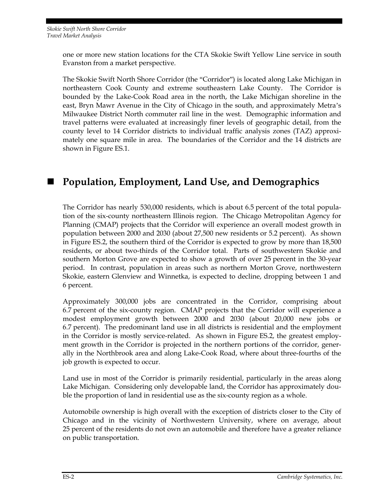one or more new station locations for the CTA Skokie Swift Yellow Line service in south Evanston from a market perspective.

The Skokie Swift North Shore Corridor (the "Corridor") is located along Lake Michigan in northeastern Cook County and extreme southeastern Lake County. The Corridor is bounded by the Lake-Cook Road area in the north, the Lake Michigan shoreline in the east, Bryn Mawr Avenue in the City of Chicago in the south, and approximately Metra's Milwaukee District North commuter rail line in the west. Demographic information and travel patterns were evaluated at increasingly finer levels of geographic detail, from the county level to 14 Corridor districts to individual traffic analysis zones (TAZ) approximately one square mile in area. The boundaries of the Corridor and the 14 districts are shown in Figure ES.1.

### ■ Population, Employment, Land Use, and Demographics

The Corridor has nearly 530,000 residents, which is about 6.5 percent of the total population of the six-county northeastern Illinois region. The Chicago Metropolitan Agency for Planning (CMAP) projects that the Corridor will experience an overall modest growth in population between 2000 and 2030 (about 27,500 new residents or 5.2 percent). As shown in Figure ES.2, the southern third of the Corridor is expected to grow by more than 18,500 residents, or about two-thirds of the Corridor total. Parts of southwestern Skokie and southern Morton Grove are expected to show a growth of over 25 percent in the 30-year period. In contrast, population in areas such as northern Morton Grove, northwestern Skokie, eastern Glenview and Winnetka, is expected to decline, dropping between 1 and 6 percent.

Approximately 300,000 jobs are concentrated in the Corridor, comprising about 6.7 percent of the six-county region. CMAP projects that the Corridor will experience a modest employment growth between 2000 and 2030 (about 20,000 new jobs or 6.7 percent). The predominant land use in all districts is residential and the employment in the Corridor is mostly service-related. As shown in Figure ES.2, the greatest employment growth in the Corridor is projected in the northern portions of the corridor, generally in the Northbrook area and along Lake-Cook Road, where about three-fourths of the job growth is expected to occur.

Land use in most of the Corridor is primarily residential, particularly in the areas along Lake Michigan. Considering only developable land, the Corridor has approximately double the proportion of land in residential use as the six-county region as a whole.

Automobile ownership is high overall with the exception of districts closer to the City of Chicago and in the vicinity of Northwestern University, where on average, about 25 percent of the residents do not own an automobile and therefore have a greater reliance on public transportation.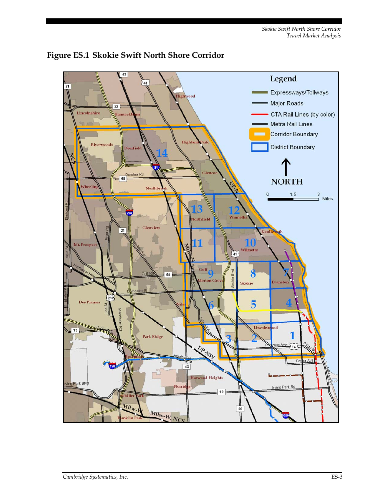

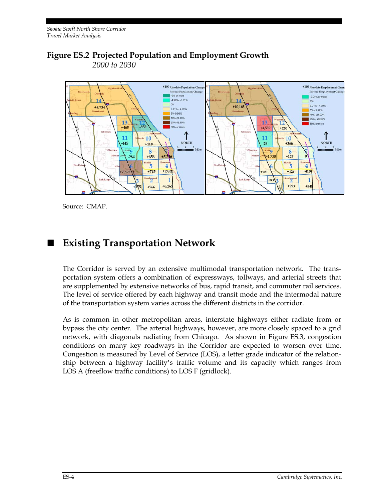#### **Figure ES.2 Projected Population and Employment Growth**  *2000 to 2030*



Source: CMAP.

### **Existing Transportation Network**

The Corridor is served by an extensive multimodal transportation network. The transportation system offers a combination of expressways, tollways, and arterial streets that are supplemented by extensive networks of bus, rapid transit, and commuter rail services. The level of service offered by each highway and transit mode and the intermodal nature of the transportation system varies across the different districts in the corridor.

As is common in other metropolitan areas, interstate highways either radiate from or bypass the city center. The arterial highways, however, are more closely spaced to a grid network, with diagonals radiating from Chicago. As shown in Figure ES.3, congestion conditions on many key roadways in the Corridor are expected to worsen over time. Congestion is measured by Level of Service (LOS), a letter grade indicator of the relationship between a highway facility's traffic volume and its capacity which ranges from LOS A (freeflow traffic conditions) to LOS F (gridlock).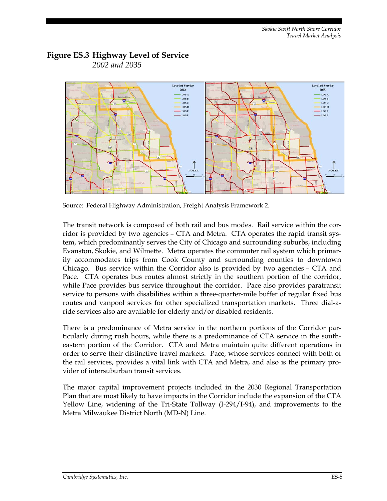#### **Figure ES.3 Highway Level of Service**  *2002 and 2035*



Source: Federal Highway Administration, Freight Analysis Framework 2.

The transit network is composed of both rail and bus modes. Rail service within the corridor is provided by two agencies – CTA and Metra. CTA operates the rapid transit system, which predominantly serves the City of Chicago and surrounding suburbs, including Evanston, Skokie, and Wilmette. Metra operates the commuter rail system which primarily accommodates trips from Cook County and surrounding counties to downtown Chicago. Bus service within the Corridor also is provided by two agencies – CTA and Pace. CTA operates bus routes almost strictly in the southern portion of the corridor, while Pace provides bus service throughout the corridor. Pace also provides paratransit service to persons with disabilities within a three-quarter-mile buffer of regular fixed bus routes and vanpool services for other specialized transportation markets. Three dial-aride services also are available for elderly and/or disabled residents.

There is a predominance of Metra service in the northern portions of the Corridor particularly during rush hours, while there is a predominance of CTA service in the southeastern portion of the Corridor. CTA and Metra maintain quite different operations in order to serve their distinctive travel markets. Pace, whose services connect with both of the rail services, provides a vital link with CTA and Metra, and also is the primary provider of intersuburban transit services.

The major capital improvement projects included in the 2030 Regional Transportation Plan that are most likely to have impacts in the Corridor include the expansion of the CTA Yellow Line, widening of the Tri-State Tollway (I-294/I-94), and improvements to the Metra Milwaukee District North (MD-N) Line.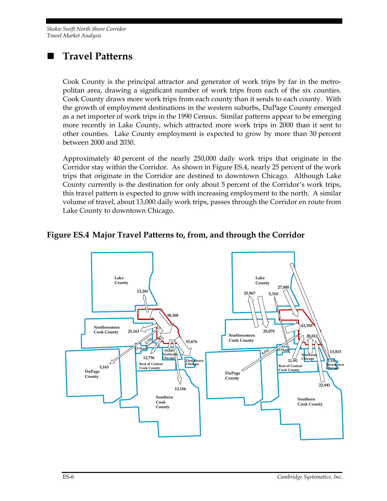### **Travel Patterns**

Cook County is the principal attractor and generator of work trips by far in the metropolitan area, drawing a significant number of work trips from each of the six counties. Cook County draws more work trips from each county than it sends to each county. With the growth of employment destinations in the western suburbs, DuPage County emerged as a net importer of work trips in the 1990 Census. Similar patterns appear to be emerging more recently in Lake County, which attracted more work trips in 2000 than it sent to other counties. Lake County employment is expected to grow by more than 30 percent between 2000 and 2030.

Approximately 40 percent of the nearly 250,000 daily work trips that originate in the Corridor stay within the Corridor. As shown in Figure ES.4, nearly 25 percent of the work trips that originate in the Corridor are destined to downtown Chicago. Although Lake County currently is the destination for only about 5 percent of the Corridor's work trips, this travel pattern is expected to grow with increasing employment to the north. A similar volume of travel, about 13,000 daily work trips, passes through the Corridor en route from Lake County to downtown Chicago.

#### **Figure ES.4 Major Travel Patterns to, from, and through the Corridor**

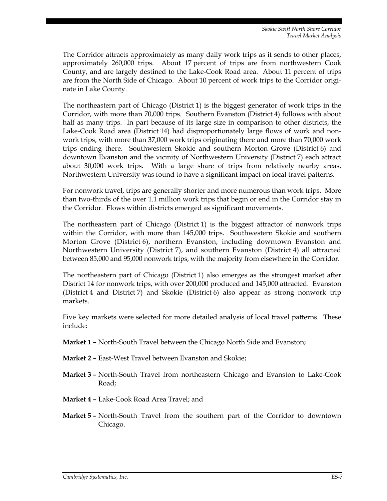The Corridor attracts approximately as many daily work trips as it sends to other places, approximately 260,000 trips. About 17 percent of trips are from northwestern Cook County, and are largely destined to the Lake-Cook Road area. About 11 percent of trips are from the North Side of Chicago. About 10 percent of work trips to the Corridor originate in Lake County.

The northeastern part of Chicago (District 1) is the biggest generator of work trips in the Corridor, with more than 70,000 trips. Southern Evanston (District 4) follows with about half as many trips. In part because of its large size in comparison to other districts, the Lake-Cook Road area (District 14) had disproportionately large flows of work and nonwork trips, with more than 37,000 work trips originating there and more than 70,000 work trips ending there. Southwestern Skokie and southern Morton Grove (District 6) and downtown Evanston and the vicinity of Northwestern University (District 7) each attract about 30,000 work trips. With a large share of trips from relatively nearby areas, Northwestern University was found to have a significant impact on local travel patterns.

For nonwork travel, trips are generally shorter and more numerous than work trips. More than two-thirds of the over 1.1 million work trips that begin or end in the Corridor stay in the Corridor. Flows within districts emerged as significant movements.

The northeastern part of Chicago (District 1) is the biggest attractor of nonwork trips within the Corridor, with more than 145,000 trips. Southwestern Skokie and southern Morton Grove (District 6), northern Evanston, including downtown Evanston and Northwestern University (District 7), and southern Evanston (District 4) all attracted between 85,000 and 95,000 nonwork trips, with the majority from elsewhere in the Corridor.

The northeastern part of Chicago (District 1) also emerges as the strongest market after District 14 for nonwork trips, with over 200,000 produced and 145,000 attracted. Evanston (District 4 and District 7) and Skokie (District 6) also appear as strong nonwork trip markets.

Five key markets were selected for more detailed analysis of local travel patterns. These include:

- **Market 1 –** North-South Travel between the Chicago North Side and Evanston;
- **Market 2 –** East-West Travel between Evanston and Skokie;
- **Market 3 –** North-South Travel from northeastern Chicago and Evanston to Lake-Cook Road;
- **Market 4 –** Lake-Cook Road Area Travel; and
- **Market 5 –** North-South Travel from the southern part of the Corridor to downtown Chicago.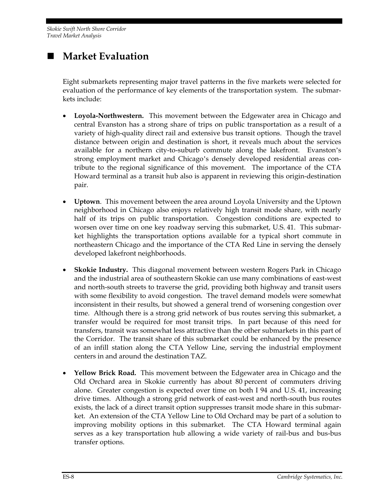## **Market Evaluation**

Eight submarkets representing major travel patterns in the five markets were selected for evaluation of the performance of key elements of the transportation system. The submarkets include:

- **Loyola-Northwestern.** This movement between the Edgewater area in Chicago and central Evanston has a strong share of trips on public transportation as a result of a variety of high-quality direct rail and extensive bus transit options. Though the travel distance between origin and destination is short, it reveals much about the services available for a northern city-to-suburb commute along the lakefront. Evanston's strong employment market and Chicago's densely developed residential areas contribute to the regional significance of this movement. The importance of the CTA Howard terminal as a transit hub also is apparent in reviewing this origin-destination pair.
- **Uptown**. This movement between the area around Loyola University and the Uptown neighborhood in Chicago also enjoys relatively high transit mode share, with nearly half of its trips on public transportation. Congestion conditions are expected to worsen over time on one key roadway serving this submarket, U.S. 41. This submarket highlights the transportation options available for a typical short commute in northeastern Chicago and the importance of the CTA Red Line in serving the densely developed lakefront neighborhoods.
- **Skokie Industry.** This diagonal movement between western Rogers Park in Chicago and the industrial area of southeastern Skokie can use many combinations of east-west and north-south streets to traverse the grid, providing both highway and transit users with some flexibility to avoid congestion. The travel demand models were somewhat inconsistent in their results, but showed a general trend of worsening congestion over time. Although there is a strong grid network of bus routes serving this submarket, a transfer would be required for most transit trips. In part because of this need for transfers, transit was somewhat less attractive than the other submarkets in this part of the Corridor. The transit share of this submarket could be enhanced by the presence of an infill station along the CTA Yellow Line, serving the industrial employment centers in and around the destination TAZ.
- **Yellow Brick Road.** This movement between the Edgewater area in Chicago and the Old Orchard area in Skokie currently has about 80 percent of commuters driving alone. Greater congestion is expected over time on both I 94 and U.S. 41, increasing drive times. Although a strong grid network of east-west and north-south bus routes exists, the lack of a direct transit option suppresses transit mode share in this submarket. An extension of the CTA Yellow Line to Old Orchard may be part of a solution to improving mobility options in this submarket. The CTA Howard terminal again serves as a key transportation hub allowing a wide variety of rail-bus and bus-bus transfer options.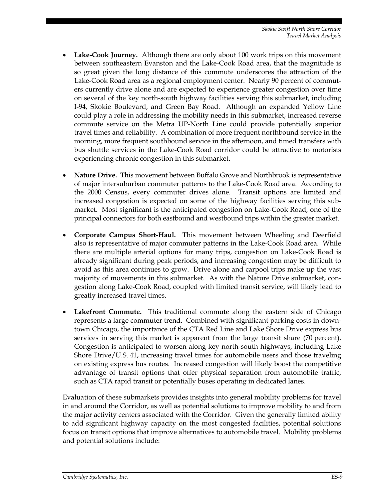- **Lake-Cook Journey.** Although there are only about 100 work trips on this movement between southeastern Evanston and the Lake-Cook Road area, that the magnitude is so great given the long distance of this commute underscores the attraction of the Lake-Cook Road area as a regional employment center. Nearly 90 percent of commuters currently drive alone and are expected to experience greater congestion over time on several of the key north-south highway facilities serving this submarket, including I-94, Skokie Boulevard, and Green Bay Road. Although an expanded Yellow Line could play a role in addressing the mobility needs in this submarket, increased reverse commute service on the Metra UP-North Line could provide potentially superior travel times and reliability. A combination of more frequent northbound service in the morning, more frequent southbound service in the afternoon, and timed transfers with bus shuttle services in the Lake-Cook Road corridor could be attractive to motorists experiencing chronic congestion in this submarket.
- **Nature Drive.** This movement between Buffalo Grove and Northbrook is representative of major intersuburban commuter patterns to the Lake-Cook Road area. According to the 2000 Census, every commuter drives alone. Transit options are limited and increased congestion is expected on some of the highway facilities serving this submarket. Most significant is the anticipated congestion on Lake-Cook Road, one of the principal connectors for both eastbound and westbound trips within the greater market.
- **Corporate Campus Short-Haul.** This movement between Wheeling and Deerfield also is representative of major commuter patterns in the Lake-Cook Road area. While there are multiple arterial options for many trips, congestion on Lake-Cook Road is already significant during peak periods, and increasing congestion may be difficult to avoid as this area continues to grow. Drive alone and carpool trips make up the vast majority of movements in this submarket. As with the Nature Drive submarket, congestion along Lake-Cook Road, coupled with limited transit service, will likely lead to greatly increased travel times.
- **Lakefront Commute.** This traditional commute along the eastern side of Chicago represents a large commuter trend. Combined with significant parking costs in downtown Chicago, the importance of the CTA Red Line and Lake Shore Drive express bus services in serving this market is apparent from the large transit share (70 percent). Congestion is anticipated to worsen along key north-south highways, including Lake Shore Drive/U.S. 41, increasing travel times for automobile users and those traveling on existing express bus routes. Increased congestion will likely boost the competitive advantage of transit options that offer physical separation from automobile traffic, such as CTA rapid transit or potentially buses operating in dedicated lanes.

Evaluation of these submarkets provides insights into general mobility problems for travel in and around the Corridor, as well as potential solutions to improve mobility to and from the major activity centers associated with the Corridor. Given the generally limited ability to add significant highway capacity on the most congested facilities, potential solutions focus on transit options that improve alternatives to automobile travel. Mobility problems and potential solutions include: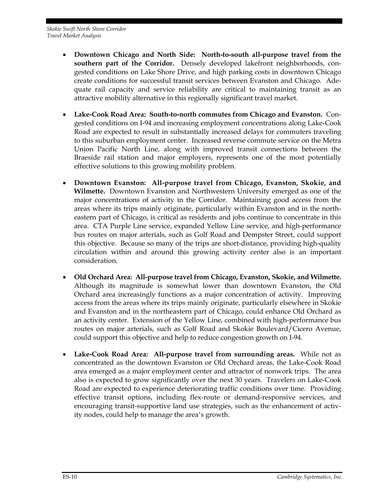- **Downtown Chicago and North Side: North-to-south all-purpose travel from the southern part of the Corridor.** Densely developed lakefront neighborhoods, congested conditions on Lake Shore Drive, and high parking costs in downtown Chicago create conditions for successful transit services between Evanston and Chicago. Adequate rail capacity and service reliability are critical to maintaining transit as an attractive mobility alternative in this regionally significant travel market.
- **Lake-Cook Road Area: South-to-north commutes from Chicago and Evanston.** Congested conditions on I-94 and increasing employment concentrations along Lake-Cook Road are expected to result in substantially increased delays for commuters traveling to this suburban employment center. Increased reverse commute service on the Metra Union Pacific North Line, along with improved transit connections between the Braeside rail station and major employers, represents one of the most potentially effective solutions to this growing mobility problem.
- **Downtown Evanston: All-purpose travel from Chicago, Evanston, Skokie, and Wilmette.** Downtown Evanston and Northwestern University emerged as one of the major concentrations of activity in the Corridor. Maintaining good access from the areas where its trips mainly originate, particularly within Evanston and in the northeastern part of Chicago, is critical as residents and jobs continue to concentrate in this area. CTA Purple Line service, expanded Yellow Line service, and high-performance bus routes on major arterials, such as Golf Road and Dempster Street, could support this objective. Because so many of the trips are short-distance, providing high-quality circulation within and around this growing activity center also is an important consideration.
- **Old Orchard Area: All-purpose travel from Chicago, Evanston, Skokie, and Wilmette.**  Although its magnitude is somewhat lower than downtown Evanston, the Old Orchard area increasingly functions as a major concentration of activity. Improving access from the areas where its trips mainly originate, particularly elsewhere in Skokie and Evanston and in the northeastern part of Chicago, could enhance Old Orchard as an activity center. Extension of the Yellow Line, combined with high-performance bus routes on major arterials, such as Golf Road and Skokie Boulevard/Cicero Avenue, could support this objective and help to reduce congestion growth on I-94.
- **Lake-Cook Road Area: All-purpose travel from surrounding areas.** While not as concentrated as the downtown Evanston or Old Orchard areas, the Lake-Cook Road area emerged as a major employment center and attractor of nonwork trips. The area also is expected to grow significantly over the next 30 years. Travelers on Lake-Cook Road are expected to experience deteriorating traffic conditions over time. Providing effective transit options, including flex-route or demand-responsive services, and encouraging transit-supportive land use strategies, such as the enhancement of activity nodes, could help to manage the area's growth.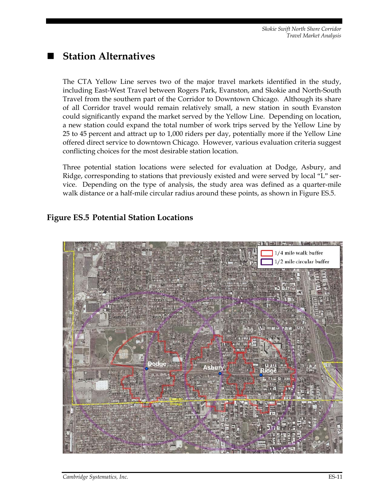### **Station Alternatives**

The CTA Yellow Line serves two of the major travel markets identified in the study, including East-West Travel between Rogers Park, Evanston, and Skokie and North-South Travel from the southern part of the Corridor to Downtown Chicago. Although its share of all Corridor travel would remain relatively small, a new station in south Evanston could significantly expand the market served by the Yellow Line. Depending on location, a new station could expand the total number of work trips served by the Yellow Line by 25 to 45 percent and attract up to 1,000 riders per day, potentially more if the Yellow Line offered direct service to downtown Chicago. However, various evaluation criteria suggest conflicting choices for the most desirable station location.

Three potential station locations were selected for evaluation at Dodge, Asbury, and Ridge, corresponding to stations that previously existed and were served by local "L" service. Depending on the type of analysis, the study area was defined as a quarter-mile walk distance or a half-mile circular radius around these points, as shown in Figure ES.5.

#### **Figure ES.5 Potential Station Locations**

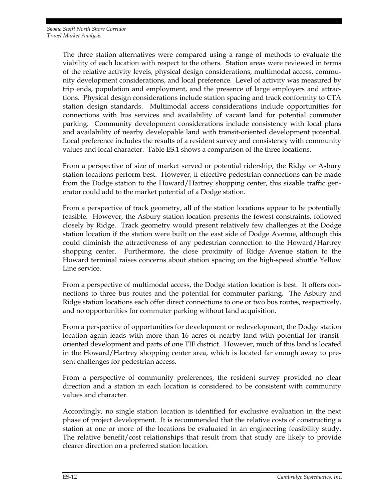The three station alternatives were compared using a range of methods to evaluate the viability of each location with respect to the others. Station areas were reviewed in terms of the relative activity levels, physical design considerations, multimodal access, community development considerations, and local preference. Level of activity was measured by trip ends, population and employment, and the presence of large employers and attractions. Physical design considerations include station spacing and track conformity to CTA station design standards. Multimodal access considerations include opportunities for connections with bus services and availability of vacant land for potential commuter parking. Community development considerations include consistency with local plans and availability of nearby developable land with transit-oriented development potential. Local preference includes the results of a resident survey and consistency with community values and local character. Table ES.1 shows a comparison of the three locations.

From a perspective of size of market served or potential ridership, the Ridge or Asbury station locations perform best. However, if effective pedestrian connections can be made from the Dodge station to the Howard/Hartrey shopping center, this sizable traffic generator could add to the market potential of a Dodge station.

From a perspective of track geometry, all of the station locations appear to be potentially feasible. However, the Asbury station location presents the fewest constraints, followed closely by Ridge. Track geometry would present relatively few challenges at the Dodge station location if the station were built on the east side of Dodge Avenue, although this could diminish the attractiveness of any pedestrian connection to the Howard/Hartrey shopping center. Furthermore, the close proximity of Ridge Avenue station to the Howard terminal raises concerns about station spacing on the high-speed shuttle Yellow Line service.

From a perspective of multimodal access, the Dodge station location is best. It offers connections to three bus routes and the potential for commuter parking. The Asbury and Ridge station locations each offer direct connections to one or two bus routes, respectively, and no opportunities for commuter parking without land acquisition.

From a perspective of opportunities for development or redevelopment, the Dodge station location again leads with more than 16 acres of nearby land with potential for transitoriented development and parts of one TIF district. However, much of this land is located in the Howard/Hartrey shopping center area, which is located far enough away to present challenges for pedestrian access.

From a perspective of community preferences, the resident survey provided no clear direction and a station in each location is considered to be consistent with community values and character.

Accordingly, no single station location is identified for exclusive evaluation in the next phase of project development. It is recommended that the relative costs of constructing a station at one or more of the locations be evaluated in an engineering feasibility study. The relative benefit/cost relationships that result from that study are likely to provide clearer direction on a preferred station location.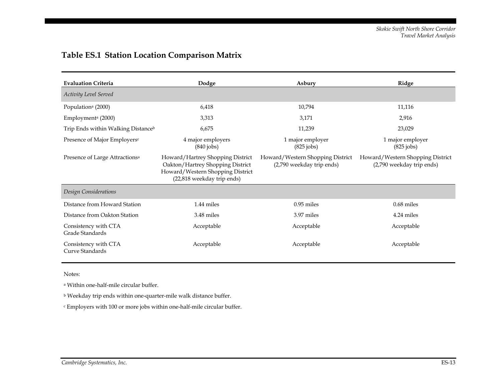|  | <b>Table ES.1 Station Location Comparison Matrix</b> |  |
|--|------------------------------------------------------|--|
|  |                                                      |  |

| <b>Evaluation Criteria</b>                 | Dodge                                                                                                                                  | Asbury                                                        | Ridge                                                         |
|--------------------------------------------|----------------------------------------------------------------------------------------------------------------------------------------|---------------------------------------------------------------|---------------------------------------------------------------|
| Activity Level Served                      |                                                                                                                                        |                                                               |                                                               |
| Population <sup>a</sup> (2000)             | 6,418                                                                                                                                  | 10,794                                                        | 11,116                                                        |
| Employment <sup>a</sup> $(2000)$           | 3,313                                                                                                                                  | 3,171                                                         | 2,916                                                         |
| Trip Ends within Walking Distanceb         | 6,675                                                                                                                                  | 11,239                                                        | 23,029                                                        |
| Presence of Major Employers <sup>c</sup>   | 4 major employers<br>$(840$ jobs)                                                                                                      | 1 major employer<br>$(825$ jobs)                              | 1 major employer<br>$(825$ jobs)                              |
| Presence of Large Attractions <sup>a</sup> | Howard/Hartrey Shopping District<br>Oakton/Hartrey Shopping District<br>Howard/Western Shopping District<br>(22,818 weekday trip ends) | Howard/Western Shopping District<br>(2,790 weekday trip ends) | Howard/Western Shopping District<br>(2,790 weekday trip ends) |
| Design Considerations                      |                                                                                                                                        |                                                               |                                                               |
| Distance from Howard Station               | 1.44 miles                                                                                                                             | $0.95$ miles                                                  | 0.68 miles                                                    |
| Distance from Oakton Station               | 3.48 miles                                                                                                                             | 3.97 miles                                                    | 4.24 miles                                                    |
| Consistency with CTA<br>Grade Standards    | Acceptable                                                                                                                             | Acceptable                                                    | Acceptable                                                    |
| Consistency with CTA<br>Curve Standards    | Acceptable                                                                                                                             | Acceptable                                                    | Acceptable                                                    |

Notes:

a Within one-half-mile circular buffer.

 $^{\rm b}$  Weekday trip ends within one-quarter-mile walk distance buffer.

 $\cdot$  Employers with 100 or more jobs within one-half-mile circular buffer.